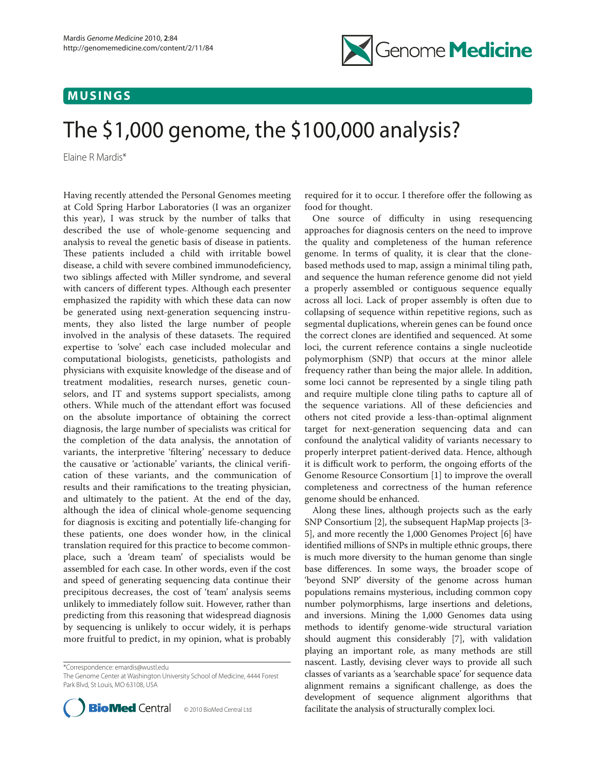## **MUSINGS**



# The \$1,000 genome, the \$100,000 analysis?

Elaine R Mardis\*

Having recently attended the Personal Genomes meeting at Cold Spring Harbor Laboratories (I was an organizer this year), I was struck by the number of talks that described the use of whole-genome sequencing and analysis to reveal the genetic basis of disease in patients. These patients included a child with irritable bowel disease, a child with severe combined immunodeficiency, two siblings affected with Miller syndrome, and several with cancers of different types. Although each presenter emphasized the rapidity with which these data can now be generated using next-generation sequencing instruments, they also listed the large number of people involved in the analysis of these datasets. The required expertise to 'solve' each case included molecular and computational biologists, geneticists, pathologists and physicians with exquisite knowledge of the disease and of treatment modalities, research nurses, genetic counselors, and IT and systems support specialists, among others. While much of the attendant effort was focused on the absolute importance of obtaining the correct diagnosis, the large number of specialists was critical for the completion of the data analysis, the annotation of variants, the interpretive 'filtering' necessary to deduce the causative or 'actionable' variants, the clinical verification of these variants, and the communication of results and their ramifications to the treating physician, and ultimately to the patient. At the end of the day, although the idea of clinical whole-genome sequencing for diagnosis is exciting and potentially life-changing for these patients, one does wonder how, in the clinical translation required for this practice to become commonplace, such a 'dream team' of specialists would be assembled for each case. In other words, even if the cost and speed of generating sequencing data continue their precipitous decreases, the cost of 'team' analysis seems unlikely to immediately follow suit. However, rather than predicting from this reasoning that widespread diagnosis by sequencing is unlikely to occur widely, it is perhaps more fruitful to predict, in my opinion, what is probably

\*Correspondence: emardis@wustl.edu

The Genome Center at Washington University School of Medicine, 4444 Forest Park Blvd, St Louis, MO 63108, USA



required for it to occur. I therefore offer the following as food for thought.

One source of difficulty in using resequencing approaches for diagnosis centers on the need to improve the quality and completeness of the human reference genome. In terms of quality, it is clear that the clonebased methods used to map, assign a minimal tiling path, and sequence the human reference genome did not yield a properly assembled or contiguous sequence equally across all loci. Lack of proper assembly is often due to collapsing of sequence within repetitive regions, such as segmental duplications, wherein genes can be found once the correct clones are identified and sequenced. At some loci, the current reference contains a single nucleotide polymorphism (SNP) that occurs at the minor allele frequency rather than being the major allele. In addition, some loci cannot be represented by a single tiling path and require multiple clone tiling paths to capture all of the sequence variations. All of these deficiencies and others not cited provide a less-than-optimal alignment target for next-generation sequencing data and can confound the analytical validity of variants necessary to properly interpret patient-derived data. Hence, although it is difficult work to perform, the ongoing efforts of the Genome Resource Consortium [1] to improve the overall completeness and correctness of the human reference genome should be enhanced.

Along these lines, although projects such as the early SNP Consortium [2], the subsequent HapMap projects [3- 5], and more recently the 1,000 Genomes Project [6] have identified millions of SNPs in multiple ethnic groups, there is much more diversity to the human genome than single base differences. In some ways, the broader scope of 'beyond SNP' diversity of the genome across human populations remains mysterious, including common copy number polymorphisms, large insertions and deletions, and inversions. Mining the 1,000 Genomes data using methods to identify genome-wide structural variation should augment this considerably [7], with validation playing an important role, as many methods are still nascent. Lastly, devising clever ways to provide all such classes of variants as a 'searchable space' for sequence data alignment remains a significant challenge, as does the development of sequence alignment algorithms that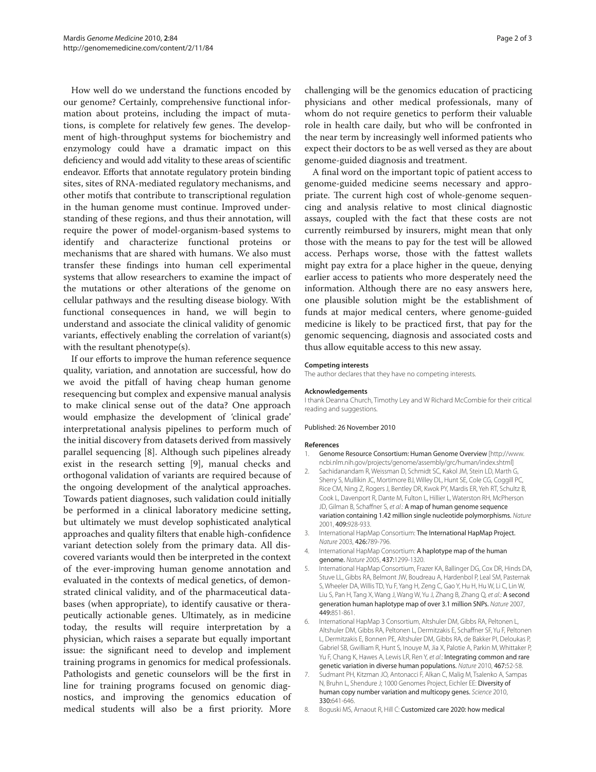How well do we understand the functions encoded by our genome? Certainly, comprehensive functional information about proteins, including the impact of mutations, is complete for relatively few genes. The development of high-throughput systems for biochemistry and enzymology could have a dramatic impact on this deficiency and would add vitality to these areas of scientific endeavor. Efforts that annotate regulatory protein binding sites, sites of RNA-mediated regulatory mechanisms, and other motifs that contribute to transcriptional regulation in the human genome must continue. Improved understanding of these regions, and thus their annotation, will require the power of model-organism-based systems to identify and characterize functional proteins or mechanisms that are shared with humans. We also must transfer these findings into human cell experimental systems that allow researchers to examine the impact of the mutations or other alterations of the genome on cellular pathways and the resulting disease biology. With functional consequences in hand, we will begin to understand and associate the clinical validity of genomic variants, effectively enabling the correlation of variant(s) with the resultant phenotype(s).

If our efforts to improve the human reference sequence quality, variation, and annotation are successful, how do we avoid the pitfall of having cheap human genome resequencing but complex and expensive manual analysis to make clinical sense out of the data? One approach would emphasize the development of 'clinical grade' interpretational analysis pipelines to perform much of the initial discovery from datasets derived from massively parallel sequencing [8]. Although such pipelines already exist in the research setting [9], manual checks and orthogonal validation of variants are required because of the ongoing development of the analytical approaches. Towards patient diagnoses, such validation could initially be performed in a clinical laboratory medicine setting, but ultimately we must develop sophisticated analytical approaches and quality filters that enable high-confidence variant detection solely from the primary data. All discovered variants would then be interpreted in the context of the ever-improving human genome annotation and evaluated in the contexts of medical genetics, of demonstrated clinical validity, and of the pharmaceutical databases (when appropriate), to identify causative or therapeutically actionable genes. Ultimately, as in medicine today, the results will require interpretation by a physician, which raises a separate but equally important issue: the significant need to develop and implement training programs in genomics for medical professionals. Pathologists and genetic counselors will be the first in line for training programs focused on genomic diagnostics, and improving the genomics education of medical students will also be a first priority. More

challenging will be the genomics education of practicing physicians and other medical professionals, many of whom do not require genetics to perform their valuable role in health care daily, but who will be confronted in the near term by increasingly well informed patients who expect their doctors to be as well versed as they are about genome-guided diagnosis and treatment.

A final word on the important topic of patient access to genome-guided medicine seems necessary and appropriate. The current high cost of whole-genome sequencing and analysis relative to most clinical diagnostic assays, coupled with the fact that these costs are not currently reimbursed by insurers, might mean that only those with the means to pay for the test will be allowed access. Perhaps worse, those with the fattest wallets might pay extra for a place higher in the queue, denying earlier access to patients who more desperately need the information. Although there are no easy answers here, one plausible solution might be the establishment of funds at major medical centers, where genome-guided medicine is likely to be practiced first, that pay for the genomic sequencing, diagnosis and associated costs and thus allow equitable access to this new assay.

#### **Competing interests**

The author declares that they have no competing interests.

#### **Acknowledgements**

I thank Deanna Church, Timothy Ley and W Richard McCombie for their critical reading and suggestions.

#### Published: 26 November 2010

#### **References**

- 1. Genome Resource Consortium: Human Genome Overview [http://www. ncbi.nlm.nih.gov/projects/genome/assembly/grc/human/index.shtml]
- 2. Sachidanandam R, Weissman D, Schmidt SC, Kakol JM, Stein LD, Marth G, Sherry S, Mullikin JC, Mortimore BJ, Willey DL, Hunt SE, Cole CG, Coggill PC, Rice CM, Ning Z, Rogers J, Bentley DR, Kwok PY, Mardis ER, Yeh RT, Schultz B, Cook L, Davenport R, Dante M, Fulton L, Hillier L, Waterston RH, McPherson JD, Gilman B, Schaffner S, *et al*.: A map of human genome sequence variation containing 1.42 million single nucleotide polymorphisms. *Nature* 2001, 409:928-933.
- 3. International HapMap Consortium: The International HapMap Project. *Nature* 2003, 426:789-796.
- International HapMap Consortium: A haplotype map of the human genome. *Nature* 2005, 437:1299-1320.
- International HapMap Consortium, Frazer KA, Ballinger DG, Cox DR, Hinds DA, Stuve LL, Gibbs RA, Belmont JW, Boudreau A, Hardenbol P, Leal SM, Pasternak S, Wheeler DA, Willis TD, Yu F, Yang H, Zeng C, Gao Y, Hu H, Hu W, Li C, Lin W, Liu S, Pan H, Tang X, Wang J, Wang W, Yu J, Zhang B, Zhang Q, *et al*.: A second generation human haplotype map of over 3.1 million SNPs. *Nature* 2007, 449:851-861.
- 6. International HapMap 3 Consortium, Altshuler DM, Gibbs RA, Peltonen L, Altshuler DM, Gibbs RA, Peltonen L, Dermitzakis E, Schaffner SF, Yu F, Peltonen L, Dermitzakis E, Bonnen PE, Altshuler DM, Gibbs RA, de Bakker PI, Deloukas P, Gabriel SB, Gwilliam R, Hunt S, Inouye M, Jia X, Palotie A, Parkin M, Whittaker P, Yu F, Chang K, Hawes A, Lewis LR, Ren Y, *et al*.: Integrating common and rare genetic variation in diverse human populations. *Nature* 2010, 467:52-58.
- 7. Sudmant PH, Kitzman JO, Antonacci F, Alkan C, Malig M, Tsalenko A, Sampas N, Bruhn L, Shendure J; 1000 Genomes Project, Eichler EE: Diversity of human copy number variation and multicopy genes. *Science* 2010, 330:641-646.
- 8. Boguski MS, Arnaout R, Hill C: Customized care 2020: how medical